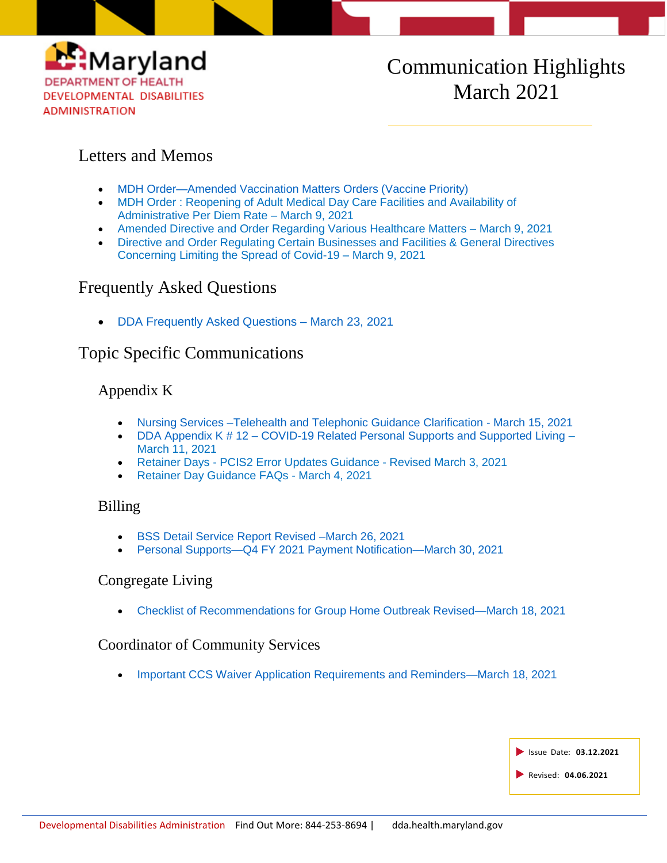

# Communication Highlights March 2021

# Letters and Memos

- [MDH Order—Amended Vaccination Matters Orders \(Vaccine Priority\)](https://dda.health.maryland.gov/Documents/COVID%2019%20Documents/Memos%20Guidance/3.23.21/2021.03.22.01%20-%20MDH%20Order%20-%20Amended%20Vaccination%20Matters%20Order%20(Vaccine%20Priority).pdf)
- [MDH Order : Reopening of Adult Medical Day Care Facilities and Availability of](https://dda.health.maryland.gov/Documents/COVID%2019%20Documents/Memos%20Guidance/3.12.21/2021.03.09.A%20-%20MDH%20Notice%20-%20COVID-19%2019_Adult%20Medical%20Day%20Care%20Reopening%20Transmittal.pdf)  [Administrative Per Diem Rate –](https://dda.health.maryland.gov/Documents/COVID%2019%20Documents/Memos%20Guidance/3.12.21/2021.03.09.A%20-%20MDH%20Notice%20-%20COVID-19%2019_Adult%20Medical%20Day%20Care%20Reopening%20Transmittal.pdf) March 9, 2021
- [Amended Directive and Order Regarding Various Healthcare Matters –](https://dda.health.maryland.gov/Documents/COVID%2019%20Documents/Memos%20Guidance/3.12.21/2021.03.09.02%20-%20MDH%20Order%20-%20Amended%20Various%20Health%20Care%20Matters%20Order.pdf) March 9, 2021
- [Directive and Order Regulating Certain Businesses and Facilities & General Directives](https://dda.health.maryland.gov/Documents/COVID%2019%20Documents/Memos%20Guidance/3.12.21/2021.03.09.01%20-%20MDH%20Order%20-%20General%20Directives%20Regarding%20Certain%20Businesses%20and%20Facilities.pdf)  [Concerning Limiting the Spread of Covid-19 –](https://dda.health.maryland.gov/Documents/COVID%2019%20Documents/Memos%20Guidance/3.12.21/2021.03.09.01%20-%20MDH%20Order%20-%20General%20Directives%20Regarding%20Certain%20Businesses%20and%20Facilities.pdf) March 9, 2021

# Frequently Asked Questions

[DDA Frequently Asked Questions –](https://files.constantcontact.com/f401fd14401/a156d5d4-0d34-4cc6-90e3-dfcf0c1fc6ee.pdf) March 23, 2021

# Topic Specific Communications

## Appendix K

- [Nursing Services –Telehealth and Telephonic Guidance Clarification -](https://files.constantcontact.com/f401fd14401/d51049a8-8df3-4118-8911-162896059846.pdf) March 15, 2021
- DDA Appendix K # 12 [COVID-19 Related Personal Supports and Supported Living](https://files.constantcontact.com/f401fd14401/12c80d69-dbb4-414c-83fd-6b77bf2cef7a.pdf) March 11, 2021
- Retainer Days [PCIS2 Error Updates Guidance](https://dda.health.maryland.gov/Documents/COVID%2019%20Documents/Appendix%20K/3.3.21/Retainer%20Days%20-%20PCIS2%20Error%20Updates%20Guidance%20-%20Revised%20March%203,%202021.pdf) Revised March 3, 2021
- [Retainer Day Guidance FAQs -](https://dda.health.maryland.gov/Documents/COVID%2019%20Documents/Appendix%20K/3.5.21/Retainer%20Day%20Guidance%20FAQs%20-%2003.04.2021.pdf) March 4, 2021

### Billing

- [BSS Detail Service Report](https://dda.health.maryland.gov/Documents/Fiscal/2.23.21/FY21%20BSS%20Invoice%20Template-010121_FINAL.zip) Revised –March 26, 2021
- [Personal Supports—Q4 FY 2021 Payment Notification—March 30, 2021](https://dda.health.maryland.gov/Documents/EVV/3.31.21/Personal%20Supports%20-%20Q4%20FY%202021%20Payment%20Notification%20March%2030%202021.pdf)

### Congregate Living

[Checklist of Recommendations for Group Home Outbreak Revised—March 18,](https://dda.health.maryland.gov/Documents/COVID%2019%20Documents/Memos%20Guidance/3.24.21/Checklist%20of%20Recommendations%20for%20Group%20Home%20Outbreak%20-%20Revised%203-18-21.pdf) 2021

### Coordinator of Community Services

[Important CCS Waiver Application Requirements and Reminders—March 18, 2021](https://dda.health.maryland.gov/Documents/COVID%2019%20Documents/Memos%20Guidance/3.22.21/Important%20CCS%20Waiver%20Application%20Requirements%20and%20Reminders%20-%20Revised%20March%2018,%202021.pdf)

| <b>Solution</b> Issue Date: 03.12.2021 |
|----------------------------------------|
| Revised: 04.06.2021                    |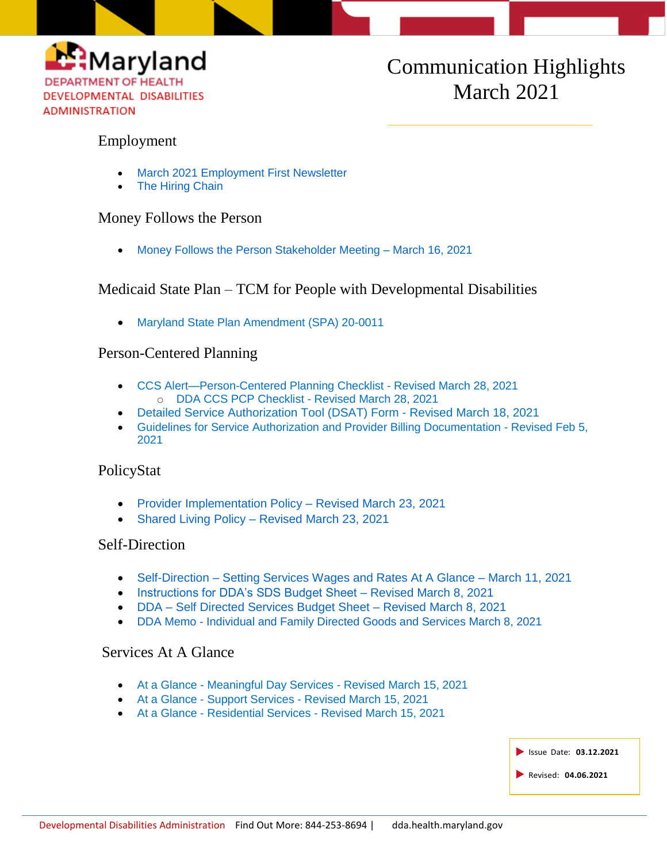

# Communication Highlights March 2021

### Employment

- [March 2021 Employment First Newsletter](https://conta.cc/3sEbLhy)
- [The Hiring Chain](https://www.youtube.com/watch?v=SKku4RAWa4M)

### Money Follows the Person

[Money Follows the Person Stakeholder Meeting –](https://conta.cc/3vdfLrc) March 16, 2021

# Medicaid State Plan – TCM for People with Developmental Disabilities

[Maryland State Plan Amendment \(SPA\) 20-0011](https://dda.health.maryland.gov/Documents/Coordination%20of%20Community%20Services/CMS%20Approval%20-%20MD%20SPA%2020-0011%20-%20TCM%20Geographic%20Rate%20Differential%20(Effective%2010.01.2020)%203-10-2021.pdf)

## Person-Centered Planning

- [CCS Alert—Person-Centered Planning Checklist -](https://dda.health.maryland.gov/Documents/Person-Centered%20Planning/4.5.21/CCS%20%20Alert%20-%20CCS%20Person%20Centered%20Plan%20Checklist%20-%20Revised_04.02.2021.pdf) Revised March 28, 2021 o [DDA CCS PCP Checklist -](https://dda.health.maryland.gov/Documents/Person-Centered%20Planning/4.5.21/DDA%20CCS%20PCP%20Checklist-%20Revised%203-28-2021.zip) Revised March 28, 2021
- [Detailed Service Authorization Tool \(DSAT\) Form -](https://dda.health.maryland.gov/Documents/Person-Centered%20Planning/3.18.21/DetailedServiceAuthorizationTool_Revised%203182021.zip) Revised March 18, 2021
- [Guidelines for Service Authorization and Provider Billing Documentation -](https://dda.health.maryland.gov/Documents/Person-Centered%20Planning/3.22.21/DDA%20-%20Service%20Authorization%20and%20Provider%20Billing%20Documentation%20Guidelines%20-%20Revised%202-5-2021%20Final1.pdf) Revised Feb 5, [2021](https://dda.health.maryland.gov/Documents/Person-Centered%20Planning/3.22.21/DDA%20-%20Service%20Authorization%20and%20Provider%20Billing%20Documentation%20Guidelines%20-%20Revised%202-5-2021%20Final1.pdf)

### PolicyStat

- Provider Implementation Policy Revised March 23, 2021
- Shared Living Policy [Revised March 23, 2021](https://dhmh.policystat.com/?lt=FGOOt-k9bPID7nabPPUk8c&next=%2Fpolicy%2F9491069%2Flatest%2F)

### Self-Direction

- Self-Direction [Setting Services Wages and Rates At A Glance –](https://files.constantcontact.com/f401fd14401/6a207c76-3a27-44c1-aa72-eab0760b8cd3.pdf) March 11, 2021
- [Instructions for DDA's SDS Budget Sheet –](https://dda.health.maryland.gov/Documents/Self-Directed%20Services%20Guidance,%20Forms,%20and,%20Webinars/3.9.21/Instructions%20for%20DDA%27s%20SDS%20Budget%20Sheet%20Revised%20March%208%202021.pdf) Revised March 8, 2021
- DDA [Self Directed Services Budget Sheet –](https://dda.health.maryland.gov/Documents/Self-Directed%20Services%20Guidance,%20Forms,%20and,%20Webinars/3.9.21/DDA%20-%20Self%20Directed%20Budget%20Sheet%20-%20Revised%20March%208%20%202021.zip) Revised March 8, 2021
- DDA Memo [Individual and Family Directed Goods and Services March 8, 2021](https://dda.health.maryland.gov/Documents/Self-Directed%20Services%20Guidance,%20Forms,%20and,%20Webinars/3.9.21/DDA%20Memo%20-%20Individual%20and%20Family%20Directed%20Goods%20and%20Services%20March%208,%202021.pdf)

## Services At A Glance

- At a Glance [Meaningful Day Services -](https://dda.health.maryland.gov/Documents/Transformation/At%20a%20Glance%20Documents/3.15.21/AAG-MeaningfulDayServicesPlanningAuthorization%20Revised%20March%2015,%202021.pdf) Revised March 15, 2021
- At a Glance Support Services [Revised March 15, 2021](https://dda.health.maryland.gov/Documents/Transformation/At%20a%20Glance%20Documents/3.15.21/AAG-SupportServicesPlanningAuthorization%20Revised%20March%2015,%202021.pdf)
- At a Glance Residential Services [Revised March 15, 2021](https://dda.health.maryland.gov/Documents/Transformation/At%20a%20Glance%20Documents/3.15.21/AAG-ResidentialServicesPlanningAuthorization%20Revised%20March%2015,%202021.pdf)

| Sissue Date: 03.12.2021 |
|-------------------------|
| Revised: 04.06.2021     |